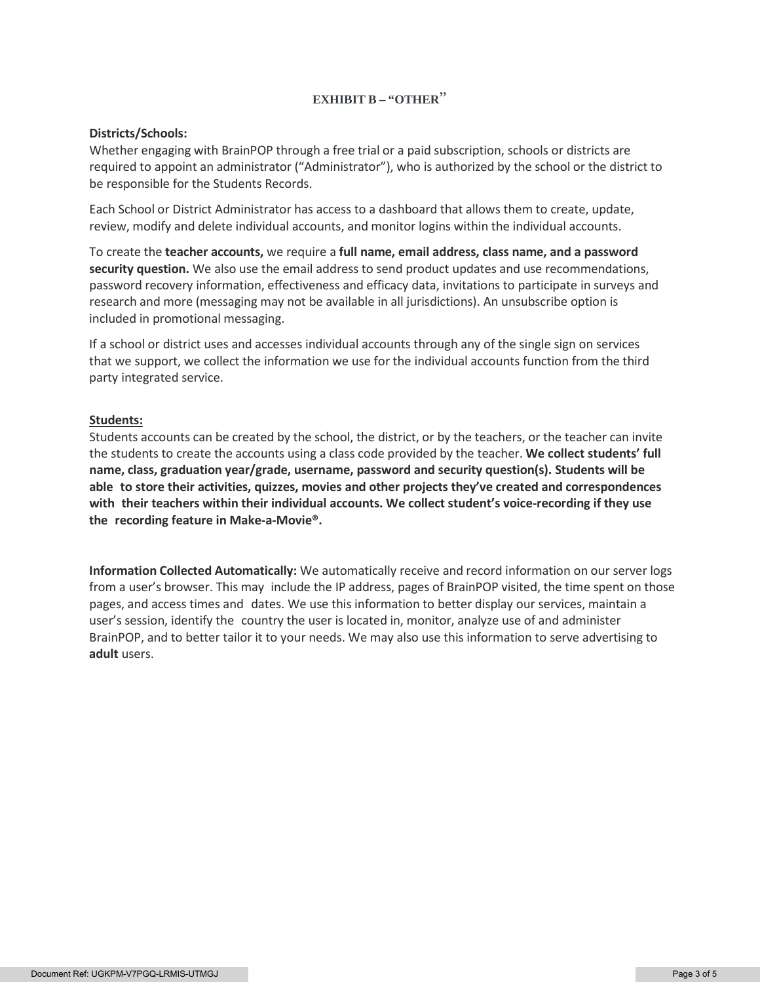# **EXHIBIT B – "OTHER**"

### **Districts/Schools:**

Whether engaging with BrainPOP through a free trial or a paid subscription, schools or districts are required to appoint an administrator ("Administrator"), who is authorized by the school or the district to be responsible for the Students Records.

Each School or District Administrator has access to a dashboard that allows them to create, update, review, modify and delete individual accounts, and monitor logins within the individual accounts.

To create the **teacher accounts,** we require a **full name, email address, class name, and a password security question.** We also use the email address to send product updates and use recommendations, password recovery information, effectiveness and efficacy data, invitations to participate in surveys and research and more (messaging may not be available in all jurisdictions). An unsubscribe option is included in promotional messaging.

If a school or district uses and accesses individual accounts through any of the single sign on services that we support, we collect the information we use for the individual accounts function from the third party integrated service.

### **Students:**

Students accounts can be created by the school, the district, or by the teachers, or the teacher can invite the students to create the accounts using a class code provided by the teacher. **We collect students' full name, class, graduation year/grade, username, password and security question(s). Students will be able to store their activities, quizzes, movies and other projects they've created and correspondences with their teachers within their individual accounts. We collect student's voice-recording if they use the recording feature in Make-a-Movie®.**

**Information Collected Automatically:** We automatically receive and record information on our server logs from a user's browser. This may include the IP address, pages of BrainPOP visited, the time spent on those pages, and access times and dates. We use this information to better display our services, maintain a user's session, identify the country the user is located in, monitor, analyze use of and administer BrainPOP, and to better tailor it to your needs. We may also use this information to serve advertising to **adult** users.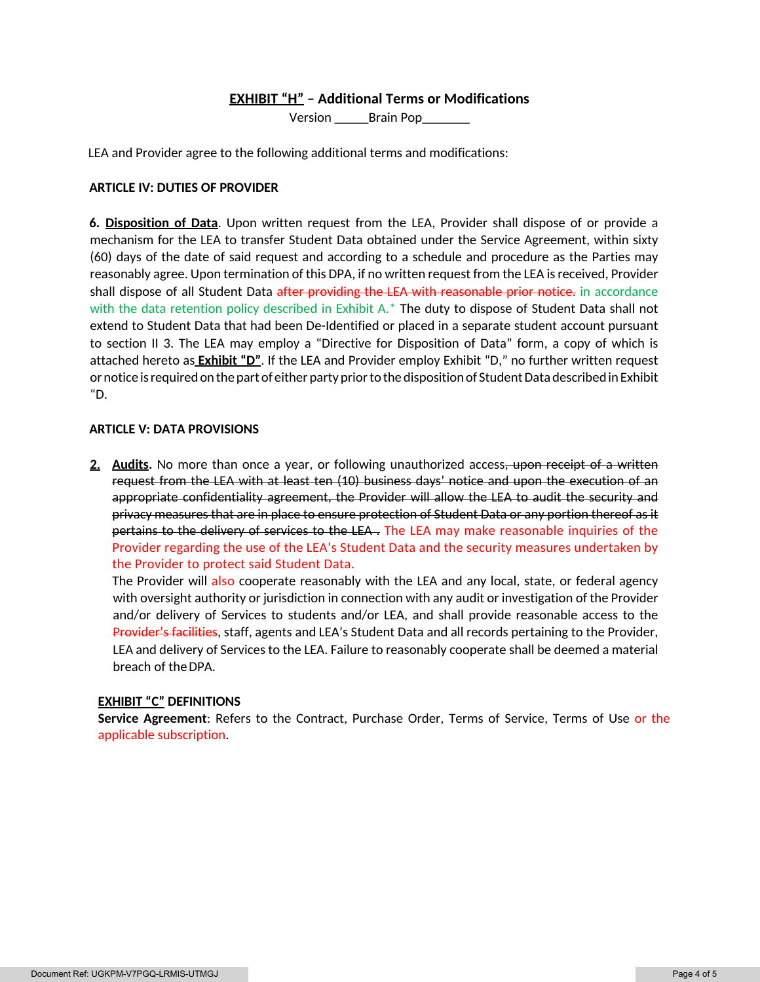# **EXHIBIT "H" – Additional Terms or Modifications**

Version \_\_\_\_\_Brain Pop\_\_\_\_\_\_\_

LEA and Provider agree to the following additional terms and modifications:

### **ARTICLE IV: DUTIES OF PROVIDER**

**6. Disposition of Data**. Upon written request from the LEA, Provider shall dispose of or provide a mechanism for the LEA to transfer Student Data obtained under the Service Agreement, within sixty (60) days of the date of said request and according to a schedule and procedure as the Parties may reasonably agree. Upon termination of this DPA, if no written request from the LEA is received, Provider shall dispose of all Student Data after providing the LEA with reasonable prior notice. in accordance with the data retention policy described in Exhibit A.\* The duty to dispose of Student Data shall not extend to Student Data that had been De-Identified or placed in a separate student account pursuant to section II 3. The LEA may employ a "Directive for Disposition of Data" form, a copy of which is attached hereto as **Exhibit "D"**. If the LEA and Provider employ Exhibit "D," no further written request or notice is required on the part of either party prior to the disposition of Student Data described in Exhibit "D.

#### **ARTICLE V: DATA PROVISIONS**

2. Audits. No more than once a year, or following unauthorized access, upon receipt of a written request from the LEA with at least ten (10) business days' notice and upon the execution of an appropriate confidentiality agreement, the Provider will allow the LEA to audit the security and privacy measures that are in place to ensure protection of Student Data or any portion thereof as it pertains to the delivery of services to the LEA. The LEA may make reasonable inquiries of the Provider regarding the use of the LEA's Student Data and the security measures undertaken by the Provider to protect said Student Data.

The Provider will also cooperate reasonably with the LEA and any local, state, or federal agency with oversight authority or jurisdiction in connection with any audit or investigation of the Provider and/or delivery of Services to students and/or LEA, and shall provide reasonable access to the Provider's facilities, staff, agents and LEA's Student Data and all records pertaining to the Provider, LEA and delivery of Services to the LEA. Failure to reasonably cooperate shall be deemed a material breach of the DPA.

#### **EXHIBIT "C" DEFINITIONS**

**Service Agreement**: Refers to the Contract, Purchase Order, Terms of Service, Terms of Use or the applicable subscription.